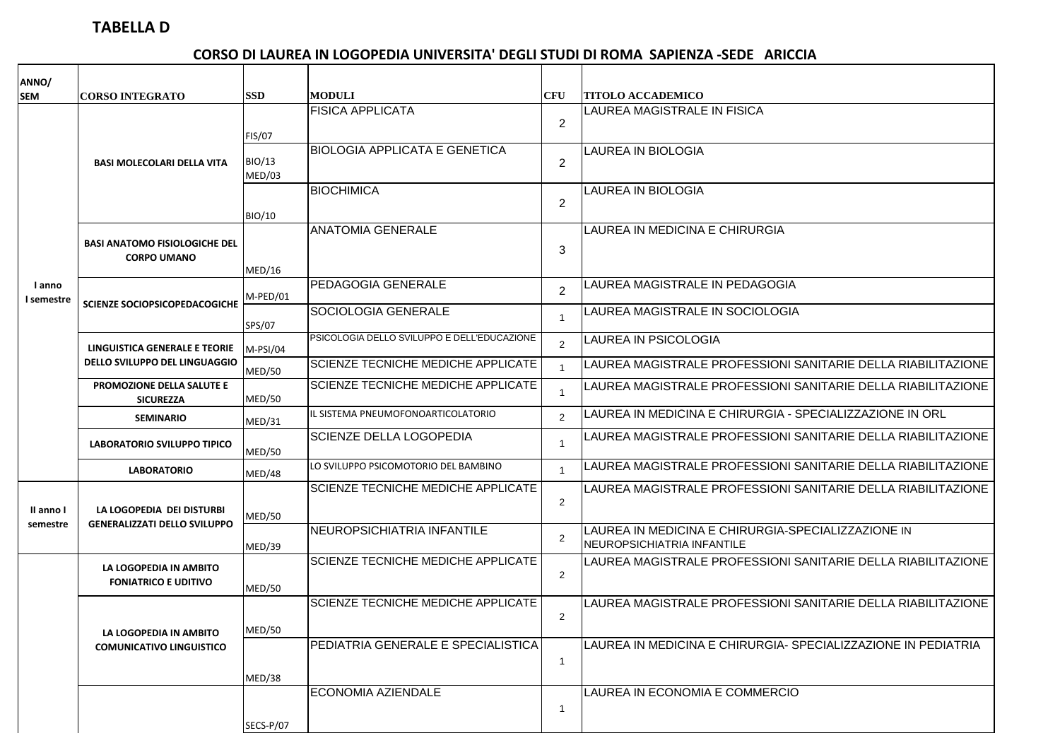## **TABELLA D**

## **CORSO DI LAUREA IN LOGOPEDIA UNIVERSITA' DEGLI STUDI DI ROMA SAPIENZA -SEDE ARICCIA**

| ANNO/                 |                                                                  |                         |                                             |                         |                                                                                  |
|-----------------------|------------------------------------------------------------------|-------------------------|---------------------------------------------|-------------------------|----------------------------------------------------------------------------------|
| <b>SEM</b>            | <b>CORSO INTEGRATO</b>                                           | <b>SSD</b>              | <b>MODULI</b>                               | CFU                     | <b>TITOLO ACCADEMICO</b>                                                         |
|                       |                                                                  | <b>FIS/07</b>           | <b>FISICA APPLICATA</b>                     | 2                       | LAUREA MAGISTRALE IN FISICA                                                      |
| I anno<br>I semestre  | <b>BASI MOLECOLARI DELLA VITA</b>                                | <b>BIO/13</b><br>MED/03 | <b>BIOLOGIA APPLICATA E GENETICA</b>        | 2                       | <b>LAUREA IN BIOLOGIA</b>                                                        |
|                       |                                                                  | <b>BIO/10</b>           | <b>BIOCHIMICA</b>                           | $\overline{2}$          | <b>LAUREA IN BIOLOGIA</b>                                                        |
|                       | <b>BASI ANATOMO FISIOLOGICHE DEL</b><br><b>CORPO UMANO</b>       |                         | <b>ANATOMIA GENERALE</b>                    | 3                       | LAUREA IN MEDICINA E CHIRURGIA                                                   |
|                       |                                                                  | MED/16                  |                                             |                         |                                                                                  |
|                       | <b>SCIENZE SOCIOPSICOPEDACOGICHE</b>                             | M-PED/01                | <b>PEDAGOGIA GENERALE</b>                   | 2                       | LAUREA MAGISTRALE IN PEDAGOGIA                                                   |
|                       |                                                                  | SPS/07                  | SOCIOLOGIA GENERALE                         | $\overline{\mathbf{1}}$ | LAUREA MAGISTRALE IN SOCIOLOGIA                                                  |
|                       | LINGUISTICA GENERALE E TEORIE<br>DELLO SVILUPPO DEL LINGUAGGIO   | $M-PSI/04$              | PSICOLOGIA DELLO SVILUPPO E DELL'EDUCAZIONE | $\overline{2}$          | LAUREA IN PSICOLOGIA                                                             |
|                       |                                                                  | <b>MED/50</b>           | <b>SCIENZE TECNICHE MEDICHE APPLICATE</b>   | $\overline{1}$          | LAUREA MAGISTRALE PROFESSIONI SANITARIE DELLA RIABILITAZIONE                     |
|                       | PROMOZIONE DELLA SALUTE E<br><b>SICUREZZA</b>                    | MED/50                  | <b>SCIENZE TECNICHE MEDICHE APPLICATE</b>   | $\overline{\mathbf{1}}$ | LAUREA MAGISTRALE PROFESSIONI SANITARIE DELLA RIABILITAZIONE                     |
|                       | <b>SEMINARIO</b>                                                 | MED/31                  | IL SISTEMA PNEUMOFONOARTICOLATORIO          | 2                       | LAUREA IN MEDICINA E CHIRURGIA - SPECIALIZZAZIONE IN ORL                         |
|                       | <b>LABORATORIO SVILUPPO TIPICO</b>                               | <b>MED/50</b>           | <b>SCIENZE DELLA LOGOPEDIA</b>              | $\overline{\mathbf{1}}$ | LAUREA MAGISTRALE PROFESSIONI SANITARIE DELLA RIABILITAZIONE                     |
|                       | <b>LABORATORIO</b>                                               | MED/48                  | LO SVILUPPO PSICOMOTORIO DEL BAMBINO        | $\overline{\mathbf{1}}$ | LAUREA MAGISTRALE PROFESSIONI SANITARIE DELLA RIABILITAZIONE                     |
| Il anno I<br>semestre | LA LOGOPEDIA DEI DISTURBI<br><b>GENERALIZZATI DELLO SVILUPPO</b> | <b>MED/50</b>           | <b>SCIENZE TECNICHE MEDICHE APPLICATE</b>   | 2                       | LAUREA MAGISTRALE PROFESSIONI SANITARIE DELLA RIABILITAZIONE                     |
|                       |                                                                  | MED/39                  | NEUROPSICHIATRIA INFANTILE                  | $\overline{2}$          | LAUREA IN MEDICINA E CHIRURGIA-SPECIALIZZAZIONE IN<br>NEUROPSICHIATRIA INFANTILE |
|                       | LA LOGOPEDIA IN AMBITO<br><b>FONIATRICO E UDITIVO</b>            |                         | SCIENZE TECNICHE MEDICHE APPLICATE          | $\overline{2}$          | LAUREA MAGISTRALE PROFESSIONI SANITARIE DELLA RIABILITAZIONE                     |
|                       |                                                                  | MED/50                  |                                             |                         |                                                                                  |
|                       |                                                                  |                         | SCIENZE TECNICHE MEDICHE APPLICATE          | 2                       | LAUREA MAGISTRALE PROFESSIONI SANITARIE DELLA RIABILITAZIONE                     |
|                       | LA LOGOPEDIA IN AMBITO                                           | <b>MED/50</b>           |                                             |                         |                                                                                  |
|                       | <b>COMUNICATIVO LINGUISTICO</b>                                  |                         | PEDIATRIA GENERALE E SPECIALISTICA          | $\overline{1}$          | LAUREA IN MEDICINA E CHIRURGIA- SPECIALIZZAZIONE IN PEDIATRIA                    |
|                       |                                                                  | MED/38                  |                                             |                         |                                                                                  |
|                       |                                                                  |                         | ECONOMIA AZIENDALE                          | $\overline{1}$          | LAUREA IN ECONOMIA E COMMERCIO                                                   |
|                       |                                                                  | SECS-P/07               |                                             |                         |                                                                                  |